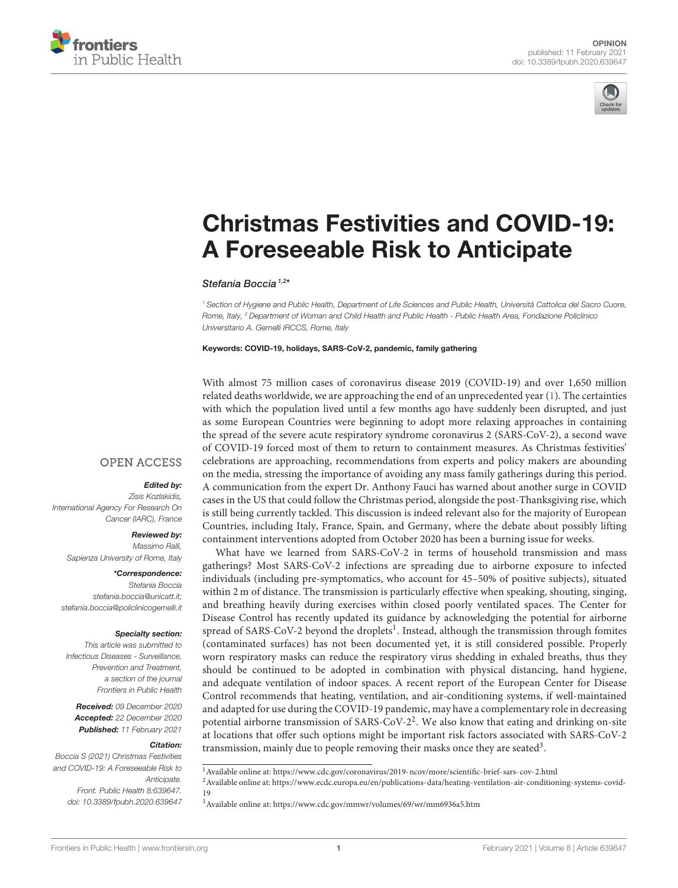



# [Christmas Festivities and COVID-19:](https://www.frontiersin.org/articles/10.3389/fpubh.2020.639647/full) A Foreseeable Risk to Anticipate

## Stefania Boccia<sup>1,2\*</sup>

<sup>1</sup> Section of Hygiene and Public Health, Department of Life Sciences and Public Health, Università Cattolica del Sacro Cuore, Rome, Italy, <sup>2</sup> Department of Woman and Child Health and Public Health - Public Health Area, Fondazione Policlinico Universitario A. Gemelli IRCCS, Rome, Italy

Keywords: COVID-19, holidays, SARS-CoV-2, pandemic, family gathering

With almost 75 million cases of coronavirus disease 2019 (COVID-19) and over 1,650 million related deaths worldwide, we are approaching the end of an unprecedented year [\(1\)](#page-2-0). The certainties with which the population lived until a few months ago have suddenly been disrupted, and just as some European Countries were beginning to adopt more relaxing approaches in containing the spread of the severe acute respiratory syndrome coronavirus 2 (SARS-CoV-2), a second wave of COVID-19 forced most of them to return to containment measures. As Christmas festivities' celebrations are approaching, recommendations from experts and policy makers are abounding on the media, stressing the importance of avoiding any mass family gatherings during this period. A communication from the expert Dr. Anthony Fauci has warned about another surge in COVID cases in the US that could follow the Christmas period, alongside the post-Thanksgiving rise, which is still being currently tackled. This discussion is indeed relevant also for the majority of European Countries, including Italy, France, Spain, and Germany, where the debate about possibly lifting containment interventions adopted from October 2020 has been a burning issue for weeks.

What have we learned from SARS-CoV-2 in terms of household transmission and mass gatherings? Most SARS-CoV-2 infections are spreading due to airborne exposure to infected individuals (including pre-symptomatics, who account for 45–50% of positive subjects), situated within 2 m of distance. The transmission is particularly effective when speaking, shouting, singing, and breathing heavily during exercises within closed poorly ventilated spaces. The Center for Disease Control has recently updated its guidance by acknowledging the potential for airborne spread of SARS-CoV-2 beyond the droplets<sup>[1](#page-0-0)</sup>. Instead, although the transmission through fomites (contaminated surfaces) has not been documented yet, it is still considered possible. Properly worn respiratory masks can reduce the respiratory virus shedding in exhaled breaths, thus they should be continued to be adopted in combination with physical distancing, hand hygiene, and adequate ventilation of indoor spaces. A recent report of the European Center for Disease Control recommends that heating, ventilation, and air-conditioning systems, if well-maintained and adapted for use during the COVID-19 pandemic, may have a complementary role in decreasing potential airborne transmission of SARS-CoV-[2](#page-0-1)<sup>2</sup>. We also know that eating and drinking on-site at locations that offer such options might be important risk factors associated with SARS-CoV-2 transmission, mainly due to people removing their masks once they are seated<sup>[3](#page-0-2)</sup>.

<span id="page-0-1"></span><span id="page-0-0"></span> $2$ Available online at: [https://www.ecdc.europa.eu/en/publications-data/heating-ventilation-air-conditioning-systems-covid-](https://www.ecdc.europa.eu/en/publications-data/heating-ventilation-air-conditioning-systems-covid-19)[19](https://www.ecdc.europa.eu/en/publications-data/heating-ventilation-air-conditioning-systems-covid-19)

## **OPEN ACCESS**

## Edited by:

Zisis Kozlakidis, International Agency For Research On Cancer (IARC), France

### Reviewed by:

Massimo Ralli, Sapienza University of Rome, Italy

#### \*Correspondence:

Stefania Boccia [stefania.boccia@unicatt.it;](mailto:stefania.boccia@unicatt.it) [stefania.boccia@policlinicogemelli.it](mailto:stefania.boccia@policlinicogemelli.it)

#### Specialty section:

This article was submitted to Infectious Diseases - Surveillance, Prevention and Treatment, a section of the journal Frontiers in Public Health

Received: 09 December 2020 Accepted: 22 December 2020 Published: 11 February 2021

#### Citation:

Boccia S (2021) Christmas Festivities and COVID-19: A Foreseeable Risk to Anticipate. Front. Public Health 8:639647. doi: [10.3389/fpubh.2020.639647](https://doi.org/10.3389/fpubh.2020.639647)

<sup>1</sup>Available online at:<https://www.cdc.gov/coronavirus/2019-ncov/more/scientific-brief-sars-cov-2.html>

<span id="page-0-2"></span><sup>3</sup>Available online at:<https://www.cdc.gov/mmwr/volumes/69/wr/mm6936a5.htm>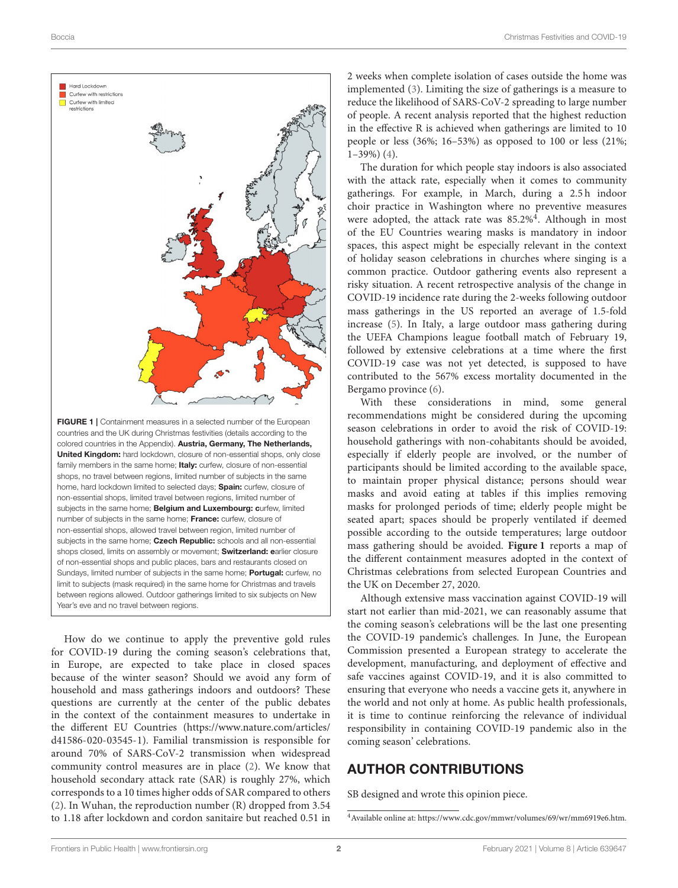

How do we continue to apply the preventive gold rules for COVID-19 during the coming season's celebrations that, in Europe, are expected to take place in closed spaces because of the winter season? Should we avoid any form of household and mass gatherings indoors and outdoors? These questions are currently at the center of the public debates in the context of the containment measures to undertake in the different EU Countries [\(https://www.nature.com/articles/](https://www.nature.com/articles/d41586-020-03545-1) [d41586-020-03545-1\)](https://www.nature.com/articles/d41586-020-03545-1). Familial transmission is responsible for around 70% of SARS-CoV-2 transmission when widespread community control measures are in place [\(2\)](#page-2-1). We know that household secondary attack rate (SAR) is roughly 27%, which corresponds to a 10 times higher odds of SAR compared to others [\(2\)](#page-2-1). In Wuhan, the reproduction number (R) dropped from 3.54 to 1.18 after lockdown and cordon sanitaire but reached 0.51 in 2 weeks when complete isolation of cases outside the home was implemented [\(3\)](#page-2-2). Limiting the size of gatherings is a measure to reduce the likelihood of SARS-CoV-2 spreading to large number of people. A recent analysis reported that the highest reduction in the effective R is achieved when gatherings are limited to 10 people or less (36%; 16–53%) as opposed to 100 or less (21%;  $1-39\%$ ) [\(4\)](#page-2-3).

The duration for which people stay indoors is also associated with the attack rate, especially when it comes to community gatherings. For example, in March, during a 2.5 h indoor choir practice in Washington where no preventive measures were adopted, the attack rate was 85.2%<sup>[4](#page-1-0)</sup>. Although in most of the EU Countries wearing masks is mandatory in indoor spaces, this aspect might be especially relevant in the context of holiday season celebrations in churches where singing is a common practice. Outdoor gathering events also represent a risky situation. A recent retrospective analysis of the change in COVID-19 incidence rate during the 2-weeks following outdoor mass gatherings in the US reported an average of 1.5-fold increase [\(5\)](#page-2-4). In Italy, a large outdoor mass gathering during the UEFA Champions league football match of February 19, followed by extensive celebrations at a time where the first COVID-19 case was not yet detected, is supposed to have contributed to the 567% excess mortality documented in the Bergamo province [\(6\)](#page-2-5).

With these considerations in mind, some general recommendations might be considered during the upcoming season celebrations in order to avoid the risk of COVID-19: household gatherings with non-cohabitants should be avoided, especially if elderly people are involved, or the number of participants should be limited according to the available space, to maintain proper physical distance; persons should wear masks and avoid eating at tables if this implies removing masks for prolonged periods of time; elderly people might be seated apart; spaces should be properly ventilated if deemed possible according to the outside temperatures; large outdoor mass gathering should be avoided. **[Figure 1](#page-1-1)** reports a map of the different containment measures adopted in the context of Christmas celebrations from selected European Countries and the UK on December 27, 2020.

Although extensive mass vaccination against COVID-19 will start not earlier than mid-2021, we can reasonably assume that the coming season's celebrations will be the last one presenting the COVID-19 pandemic's challenges. In June, the European Commission presented a European strategy to accelerate the development, manufacturing, and deployment of effective and safe vaccines against COVID-19, and it is also committed to ensuring that everyone who needs a vaccine gets it, anywhere in the world and not only at home. As public health professionals, it is time to continue reinforcing the relevance of individual responsibility in containing COVID-19 pandemic also in the coming season' celebrations.

# AUTHOR CONTRIBUTIONS

SB designed and wrote this opinion piece.

<span id="page-1-1"></span>Year's eve and no travel between regions.

<span id="page-1-0"></span><sup>4</sup>Available online at: [https://www.cdc.gov/mmwr/volumes/69/wr/mm6919e6.htm.](https://www.cdc.gov/mmwr/volumes/69/wr/mm6919e6.htm)